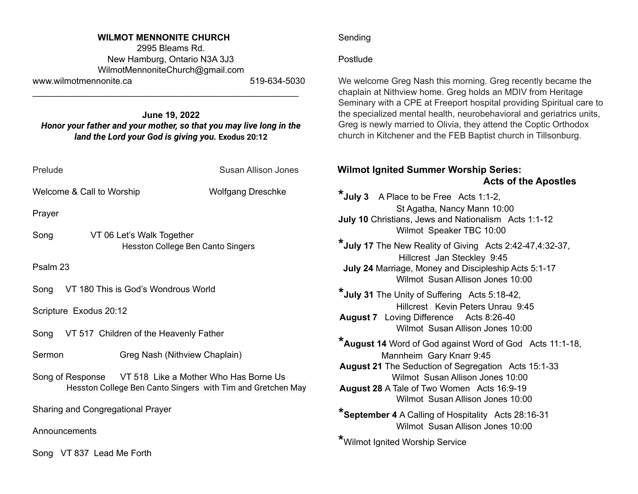#### **WILMOT MENNONITE CHURCH**

2995 Bleams Rd. New Hamburg, Ontario N3A 3J3 [WilmotMennoniteChurch@gmail.com](mailto:WilmotMennoniteChurch@gmail.com) www.wilmotmennonite.ca 519-634-5030

#### **June 19, 2022** *Honor your father and your mother, so that you may live long in the land the Lord your God is giving you.* **Exodus 20:12**

\_\_\_\_\_\_\_\_\_\_\_\_\_\_\_\_\_\_\_\_\_\_\_\_\_\_\_\_\_\_\_\_\_\_\_\_\_\_\_\_\_\_\_\_\_\_\_\_\_\_\_\_\_\_

| Prelude                                     | Susan Allison Jones                                                                                                   |
|---------------------------------------------|-----------------------------------------------------------------------------------------------------------------------|
| Welcome & Call to Worship                   | <b>Wolfgang Dreschke</b>                                                                                              |
| Prayer                                      |                                                                                                                       |
| Song                                        | VT 06 Let's Walk Together<br>Hesston College Ben Canto Singers                                                        |
| Psalm 23                                    |                                                                                                                       |
| Song VT 180 This is God's Wondrous World    |                                                                                                                       |
| Scripture Exodus 20:12                      |                                                                                                                       |
| Song VT 517 Children of the Heavenly Father |                                                                                                                       |
| Sermon                                      | Greg Nash (Nithview Chaplain)                                                                                         |
|                                             | Song of Response VT 518 Like a Mother Who Has Borne Us<br>Hesston College Ben Canto Singers with Tim and Gretchen May |
| Sharing and Congregational Prayer           |                                                                                                                       |

Announcements

Song VT 837 Lead Me Forth

### Sending

## **Postlude**

We welcome Greg Nash this morning. Greg recently became the chaplain at Nithview home. Greg holds an MDIV from Heritage Seminary with a CPE at Freeport hospital providing Spiritual care to the specialized mental health, neurobehavioral and geriatrics units, Greg is newly married to Olivia, they attend the Coptic Orthodox church in Kitchener and the FEB Baptist church in Tillsonburg.

# **Wilmot Ignited Summer Worship Series: Acts of the Apostles**

**\*July <sup>3</sup>** <sup>A</sup> Place to be Free Acts 1:1-2, St Agatha, Nancy Mann 10:00 **July 10** Christians, Jews and Nationalism Acts 1:1-12 Wilmot Speaker TBC 10:00 **\*July <sup>17</sup>** The New Reality of Giving Acts 2:42-47,4:32-37, Hillcrest Jan Steckley 9:45 **July 24** Marriage, Money and Discipleship Acts 5:1-17 Wilmot Susan Allison Jones 10:00 **\*July <sup>31</sup>** The Unity of Suffering Acts 5:18-42, Hillcrest Kevin Peters Unrau 9:45 **August 7** Loving Difference Acts 8:26-40 Wilmot Susan Allison Jones 10:00 **\*August <sup>14</sup>** Word of God against Word of God Acts 11:1-18, Mannheim Gary Knarr 9:45 **August 21** The Seduction of Segregation Acts 15:1-33 Wilmot Susan Allison Jones 10:00 **August 28** A Tale of Two Women Acts 16:9-19 Wilmot Susan Allison Jones 10:00 **\*September <sup>4</sup>** <sup>A</sup> Calling of Hospitality Acts 28:16-31 Wilmot Susan Allison Jones 10:00 **\***Wilmot Ignited Worship Service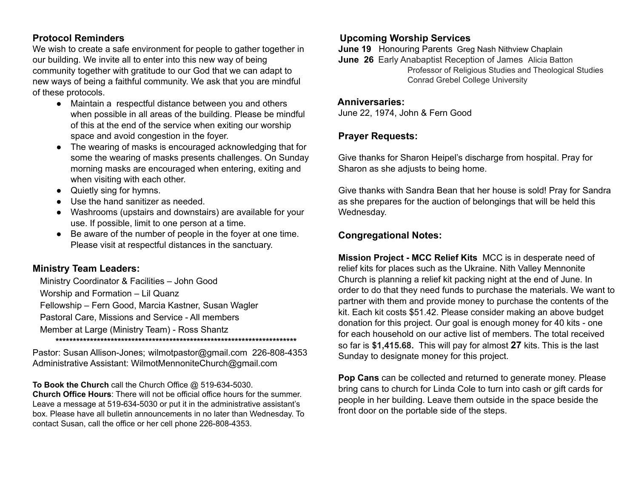## **Protocol Reminders**

We wish to create a safe environment for people to gather together in our building. We invite all to enter into this new way of being community together with gratitude to our God that we can adapt to new ways of being a faithful community. We ask that you are mindful of these protocols.

- Maintain a respectful distance between you and others when possible in all areas of the building. Please be mindful of this at the end of the service when exiting our worship space and avoid congestion in the foyer.
- The wearing of masks is encouraged acknowledging that for some the wearing of masks presents challenges. On Sunday morning masks are encouraged when entering, exiting and when visiting with each other.
- Quietly sing for hymns.
- Use the hand sanitizer as needed.
- Washrooms (upstairs and downstairs) are available for your use. If possible, limit to one person at a time.
- Be aware of the number of people in the foyer at one time. Please visit at respectful distances in the sanctuary.

# **Ministry Team Leaders:**

Ministry Coordinator & Facilities – John Good Worship and Formation – Lil Quanz Fellowship – Fern Good, Marcia Kastner, Susan Wagler Pastoral Care, Missions and Service - All members Member at Large (Ministry Team) - Ross Shantz **\*\*\*\*\*\*\*\*\*\*\*\*\*\*\*\*\*\*\*\*\*\*\*\*\*\*\*\*\*\*\*\*\*\*\*\*\*\*\*\*\*\*\*\*\*\*\*\*\*\*\*\*\*\*\*\*\*\*\*\*\*\*\*\*\*\*\*\*\*\***

Pastor: Susan Allison-Jones; [wilmotpastor@gmail.com](mailto:wilmotpastor@gmail.com) 226-808-4353 Administrative Assistant: WilmotMennoniteChurch@gmail.com

**To Book the Church** call the Church Office @ 519-634-5030. **Church Office Hours**: There will not be official office hours for the summer. Leave a message at 519-634-5030 or put it in the administrative assistant's box. Please have all bulletin announcements in no later than Wednesday. To contact Susan, call the office or her cell phone 226-808-4353.

# **Upcoming Worship Services**

**June 19** Honouring Parents Greg Nash Nithview Chaplain

**June 26** Early Anabaptist Reception of James Alicia Batton Professor of Religious Studies and Theological Studies Conrad Grebel College University

### **Anniversaries:**

June 22, 1974, John & Fern Good

## **Prayer Requests:**

Give thanks for Sharon Heipel's discharge from hospital. Pray for Sharon as she adjusts to being home.

Give thanks with Sandra Bean that her house is sold! Pray for Sandra as she prepares for the auction of belongings that will be held this Wednesday.

# **Congregational Notes:**

**Mission Project - MCC Relief Kits** MCC is in desperate need of relief kits for places such as the Ukraine. Nith Valley Mennonite Church is planning a relief kit packing night at the end of June. In order to do that they need funds to purchase the materials. We want to partner with them and provide money to purchase the contents of the kit. Each kit costs \$51.42. Please consider making an above budget donation for this project. Our goal is enough money for 40 kits - one for each household on our active list of members. The total received so far is **\$1,415.68.** This will pay for almost **27** kits. This is the last Sunday to designate money for this project.

**Pop Cans** can be collected and returned to generate money. Please bring cans to church for Linda Cole to turn into cash or gift cards for people in her building. Leave them outside in the space beside the front door on the portable side of the steps.